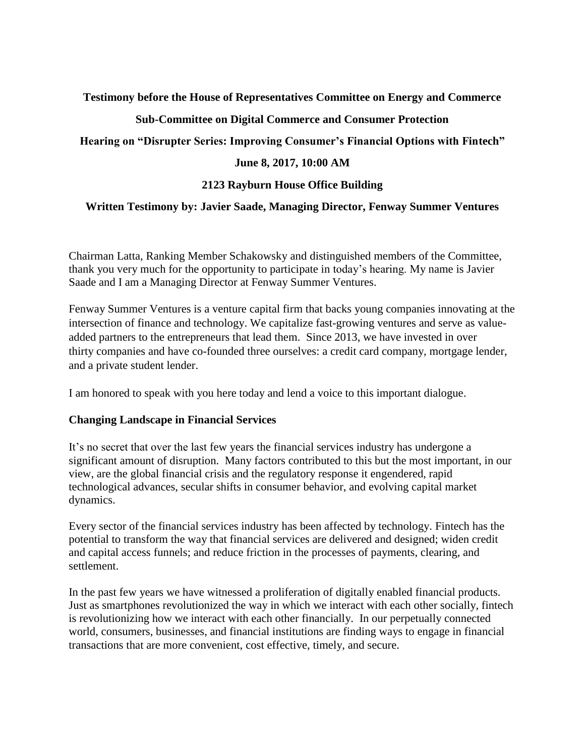**Testimony before the House of Representatives Committee on Energy and Commerce**

# **Sub-Committee on Digital Commerce and Consumer Protection**

## **Hearing on "Disrupter Series: Improving Consumer's Financial Options with Fintech"**

# **June 8, 2017, 10:00 AM**

# **2123 Rayburn House Office Building**

## **Written Testimony by: Javier Saade, Managing Director, Fenway Summer Ventures**

Chairman Latta, Ranking Member Schakowsky and distinguished members of the Committee, thank you very much for the opportunity to participate in today's hearing. My name is Javier Saade and I am a Managing Director at Fenway Summer Ventures.

Fenway Summer Ventures is a venture capital firm that backs young companies innovating at the intersection of finance and technology. We capitalize fast-growing ventures and serve as valueadded partners to the entrepreneurs that lead them. Since 2013, we have invested in over thirty companies and have co-founded three ourselves: a credit card company, mortgage lender, and a private student lender.

I am honored to speak with you here today and lend a voice to this important dialogue.

## **Changing Landscape in Financial Services**

It's no secret that over the last few years the financial services industry has undergone a significant amount of disruption. Many factors contributed to this but the most important, in our view, are the global financial crisis and the regulatory response it engendered, rapid technological advances, secular shifts in consumer behavior, and evolving capital market dynamics.

Every sector of the financial services industry has been affected by technology. Fintech has the potential to transform the way that financial services are delivered and designed; widen credit and capital access funnels; and reduce friction in the processes of payments, clearing, and settlement.

In the past few years we have witnessed a proliferation of digitally enabled financial products. Just as smartphones revolutionized the way in which we interact with each other socially, fintech is revolutionizing how we interact with each other financially. In our perpetually connected world, consumers, businesses, and financial institutions are finding ways to engage in financial transactions that are more convenient, cost effective, timely, and secure.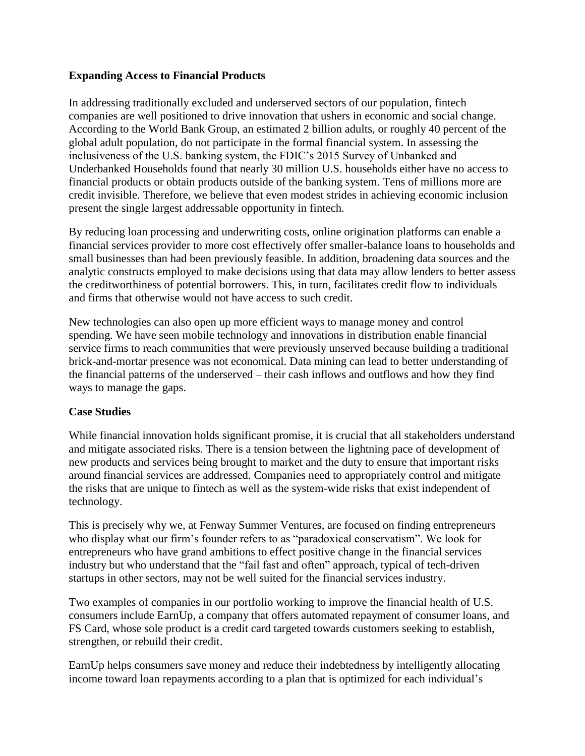#### **Expanding Access to Financial Products**

In addressing traditionally excluded and underserved sectors of our population, fintech companies are well positioned to drive innovation that ushers in economic and social change. According to the World Bank Group, an estimated 2 billion adults, or roughly 40 percent of the global adult population, do not participate in the formal financial system. In assessing the inclusiveness of the U.S. banking system, the FDIC's 2015 Survey of Unbanked and Underbanked Households found that nearly 30 million U.S. households either have no access to financial products or obtain products outside of the banking system. Tens of millions more are credit invisible. Therefore, we believe that even modest strides in achieving economic inclusion present the single largest addressable opportunity in fintech.

By reducing loan processing and underwriting costs, online origination platforms can enable a financial services provider to more cost effectively offer smaller-balance loans to households and small businesses than had been previously feasible. In addition, broadening data sources and the analytic constructs employed to make decisions using that data may allow lenders to better assess the creditworthiness of potential borrowers. This, in turn, facilitates credit flow to individuals and firms that otherwise would not have access to such credit.

New technologies can also open up more efficient ways to manage money and control spending. We have seen mobile technology and innovations in distribution enable financial service firms to reach communities that were previously unserved because building a traditional brick-and-mortar presence was not economical. Data mining can lead to better understanding of the financial patterns of the underserved – their cash inflows and outflows and how they find ways to manage the gaps.

#### **Case Studies**

While financial innovation holds significant promise, it is crucial that all stakeholders understand and mitigate associated risks. There is a tension between the lightning pace of development of new products and services being brought to market and the duty to ensure that important risks around financial services are addressed. Companies need to appropriately control and mitigate the risks that are unique to fintech as well as the system-wide risks that exist independent of technology.

This is precisely why we, at Fenway Summer Ventures, are focused on finding entrepreneurs who display what our firm's founder refers to as "paradoxical conservatism". We look for entrepreneurs who have grand ambitions to effect positive change in the financial services industry but who understand that the "fail fast and often" approach, typical of tech-driven startups in other sectors, may not be well suited for the financial services industry.

Two examples of companies in our portfolio working to improve the financial health of U.S. consumers include EarnUp, a company that offers automated repayment of consumer loans, and FS Card, whose sole product is a credit card targeted towards customers seeking to establish, strengthen, or rebuild their credit.

EarnUp helps consumers save money and reduce their indebtedness by intelligently allocating income toward loan repayments according to a plan that is optimized for each individual's